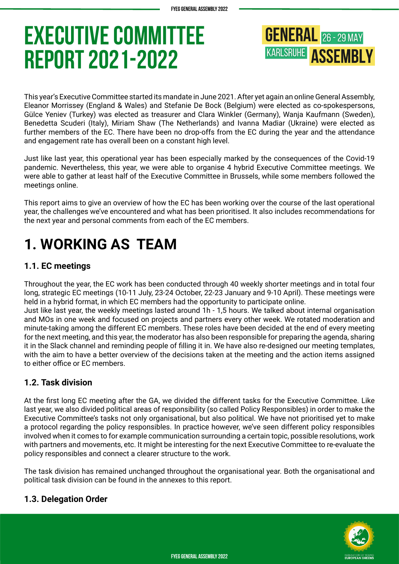**GENERAL** 26 - 29 MAY **KARLSRUHE ASSEMBLY** 

This year's Executive Committee started its mandate in June 2021. After yet again an online General Assembly, Eleanor Morrissey (England & Wales) and Stefanie De Bock (Belgium) were elected as co-spokespersons, Gülce Yeniev (Turkey) was elected as treasurer and Clara Winkler (Germany), Wanja Kaufmann (Sweden), Benedetta Scuderi (Italy), Miriam Shaw (The Netherlands) and Ivanna Madiar (Ukraine) were elected as further members of the EC. There have been no drop-offs from the EC during the year and the attendance and engagement rate has overall been on a constant high level.

Just like last year, this operational year has been especially marked by the consequences of the Covid-19 pandemic. Nevertheless, this year, we were able to organise 4 hybrid Executive Committee meetings. We were able to gather at least half of the Executive Committee in Brussels, while some members followed the meetings online.

This report aims to give an overview of how the EC has been working over the course of the last operational year, the challenges we've encountered and what has been prioritised. It also includes recommendations for the next year and personal comments from each of the EC members.

# **1. WORKING AS TEAM**

# **1.1. EC meetings**

Throughout the year, the EC work has been conducted through 40 weekly shorter meetings and in total four long, strategic EC meetings (10-11 July, 23-24 October, 22-23 January and 9-10 April). These meetings were held in a hybrid format, in which EC members had the opportunity to participate online.

Just like last year, the weekly meetings lasted around 1h - 1,5 hours. We talked about internal organisation and MOs in one week and focused on projects and partners every other week. We rotated moderation and minute-taking among the different EC members. These roles have been decided at the end of every meeting for the next meeting, and this year, the moderator has also been responsible for preparing the agenda, sharing it in the Slack channel and reminding people of filling it in. We have also re-designed our meeting templates, with the aim to have a better overview of the decisions taken at the meeting and the action items assigned to either office or EC members.

# **1.2. Task division**

At the first long EC meeting after the GA, we divided the different tasks for the Executive Committee. Like last year, we also divided political areas of responsibility (so called Policy Responsibles) in order to make the Executive Committee's tasks not only organisational, but also political. We have not prioritised yet to make a protocol regarding the policy responsibles. In practice however, we've seen different policy responsibles involved when it comes to for example communication surrounding a certain topic, possible resolutions, work with partners and movements, etc. It might be interesting for the next Executive Committee to re-evaluate the policy responsibles and connect a clearer structure to the work.

The task division has remained unchanged throughout the organisational year. Both the organisational and political task division can be found in the annexes to this report.

# **1.3. Delegation Order**

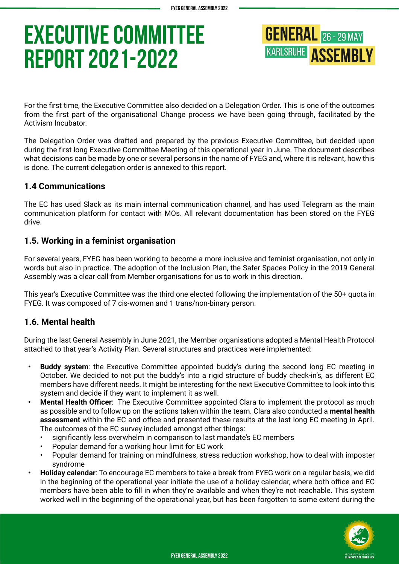**GENERAL** 26 - 29 MAY **KARLSRUHE ASSEMBLY** 

For the first time, the Executive Committee also decided on a Delegation Order. This is one of the outcomes from the first part of the organisational Change process we have been going through, facilitated by the Activism Incubator.

The Delegation Order was drafted and prepared by the previous Executive Committee, but decided upon during the first long Executive Committee Meeting of this operational year in June. The document describes what decisions can be made by one or several persons in the name of FYEG and, where it is relevant, how this is done. The current delegation order is annexed to this report.

#### **1.4 Communications**

The EC has used Slack as its main internal communication channel, and has used Telegram as the main communication platform for contact with MOs. All relevant documentation has been stored on the FYEG drive.

### **1.5. Working in a feminist organisation**

For several years, FYEG has been working to become a more inclusive and feminist organisation, not only in words but also in practice. The adoption of the Inclusion Plan, the Safer Spaces Policy in the 2019 General Assembly was a clear call from Member organisations for us to work in this direction.

This year's Executive Committee was the third one elected following the implementation of the 50+ quota in FYEG. It was composed of 7 cis-women and 1 trans/non-binary person.

# **1.6. Mental health**

During the last General Assembly in June 2021, the Member organisations adopted a Mental Health Protocol attached to that year's Activity Plan. Several structures and practices were implemented:

- **• Buddy system**: the Executive Committee appointed buddy's during the second long EC meeting in October. We decided to not put the buddy's into a rigid structure of buddy check-in's, as different EC members have different needs. It might be interesting for the next Executive Committee to look into this system and decide if they want to implement it as well.
- **• Mental Health Officer**: The Executive Committee appointed Clara to implement the protocol as much as possible and to follow up on the actions taken within the team. Clara also conducted a **mental health assessment** within the EC and office and presented these results at the last long EC meeting in April. The outcomes of the EC survey included amongst other things:
	- significantly less overwhelm in comparison to last mandate's EC members
	- Popular demand for a working hour limit for EC work
	- Popular demand for training on mindfulness, stress reduction workshop, how to deal with imposter syndrome
- **• Holiday calendar**: To encourage EC members to take a break from FYEG work on a regular basis, we did in the beginning of the operational year initiate the use of a holiday calendar, where both office and EC members have been able to fill in when they're available and when they're not reachable. This system worked well in the beginning of the operational year, but has been forgotten to some extent during the

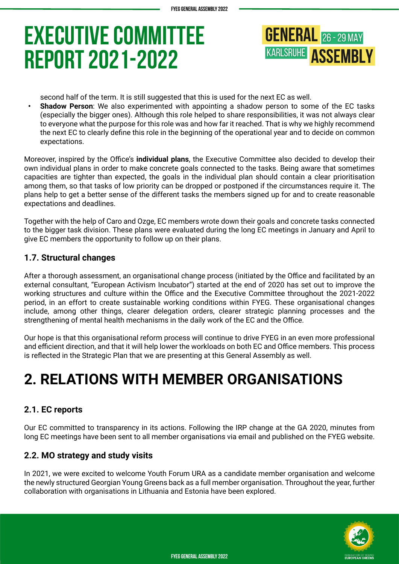

second half of the term. It is still suggested that this is used for the next EC as well.

**• Shadow Person**: We also experimented with appointing a shadow person to some of the EC tasks (especially the bigger ones). Although this role helped to share responsibilities, it was not always clear to everyone what the purpose for this role was and how far it reached. That is why we highly recommend the next EC to clearly define this role in the beginning of the operational year and to decide on common expectations.

Moreover, inspired by the Office's **individual plans**, the Executive Committee also decided to develop their own individual plans in order to make concrete goals connected to the tasks. Being aware that sometimes capacities are tighter than expected, the goals in the individual plan should contain a clear prioritisation among them, so that tasks of low priority can be dropped or postponed if the circumstances require it. The plans help to get a better sense of the different tasks the members signed up for and to create reasonable expectations and deadlines.

Together with the help of Caro and Ozge, EC members wrote down their goals and concrete tasks connected to the bigger task division. These plans were evaluated during the long EC meetings in January and April to give EC members the opportunity to follow up on their plans.

### **1.7. Structural changes**

After a thorough assessment, an organisational change process (initiated by the Office and facilitated by an external consultant, "European Activism Incubator") started at the end of 2020 has set out to improve the working structures and culture within the Office and the Executive Committee throughout the 2021-2022 period, in an effort to create sustainable working conditions within FYEG. These organisational changes include, among other things, clearer delegation orders, clearer strategic planning processes and the strengthening of mental health mechanisms in the daily work of the EC and the Office.

Our hope is that this organisational reform process will continue to drive FYEG in an even more professional and efficient direction, and that it will help lower the workloads on both EC and Office members. This process is reflected in the Strategic Plan that we are presenting at this General Assembly as well.

# **2. RELATIONS WITH MEMBER ORGANISATIONS**

# **2.1. EC reports**

Our EC committed to transparency in its actions. Following the IRP change at the GA 2020, minutes from long EC meetings have been sent to all member organisations via email and published on the FYEG website.

# **2.2. MO strategy and study visits**

In 2021, we were excited to welcome Youth Forum URA as a candidate member organisation and welcome the newly structured Georgian Young Greens back as a full member organisation. Throughout the year, further collaboration with organisations in Lithuania and Estonia have been explored.

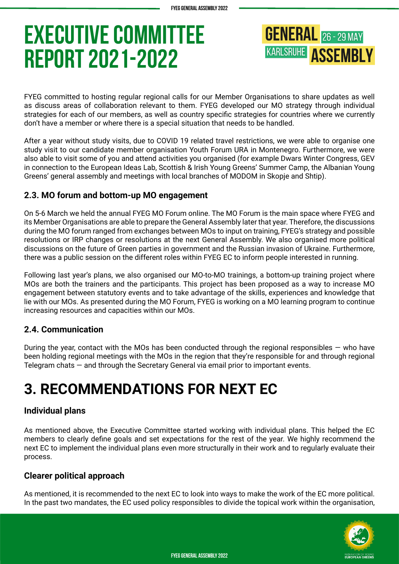**GENERAL** 26 - 29 MAY **KARLSRUHE ASSEMBLY** 

FYEG committed to hosting regular regional calls for our Member Organisations to share updates as well as discuss areas of collaboration relevant to them. FYEG developed our MO strategy through individual strategies for each of our members, as well as country specific strategies for countries where we currently don't have a member or where there is a special situation that needs to be handled.

After a year without study visits, due to COVID 19 related travel restrictions, we were able to organise one study visit to our candidate member organisation Youth Forum URA in Montenegro. Furthermore, we were also able to visit some of you and attend activities you organised (for example Dwars Winter Congress, GEV in connection to the European Ideas Lab, Scottish & Irish Young Greens' Summer Camp, the Albanian Young Greens' general assembly and meetings with local branches of MODOM in Skopje and Shtip).

# **2.3. MO forum and bottom-up MO engagement**

On 5-6 March we held the annual FYEG MO Forum online. The MO Forum is the main space where FYEG and its Member Organisations are able to prepare the General Assembly later that year. Therefore, the discussions during the MO forum ranged from exchanges between MOs to input on training, FYEG's strategy and possible resolutions or IRP changes or resolutions at the next General Assembly. We also organised more political discussions on the future of Green parties in government and the Russian invasion of Ukraine. Furthermore, there was a public session on the different roles within FYEG EC to inform people interested in running.

Following last year's plans, we also organised our MO-to-MO trainings, a bottom-up training project where MOs are both the trainers and the participants. This project has been proposed as a way to increase MO engagement between statutory events and to take advantage of the skills, experiences and knowledge that lie with our MOs. As presented during the MO Forum, FYEG is working on a MO learning program to continue increasing resources and capacities within our MOs.

# **2.4. Communication**

During the year, contact with the MOs has been conducted through the regional responsibles  $-$  who have been holding regional meetings with the MOs in the region that they're responsible for and through regional Telegram chats — and through the Secretary General via email prior to important events.

# **3. RECOMMENDATIONS FOR NEXT EC**

#### **Individual plans**

As mentioned above, the Executive Committee started working with individual plans. This helped the EC members to clearly define goals and set expectations for the rest of the year. We highly recommend the next EC to implement the individual plans even more structurally in their work and to regularly evaluate their process.

#### **Clearer political approach**

As mentioned, it is recommended to the next EC to look into ways to make the work of the EC more political. In the past two mandates, the EC used policy responsibles to divide the topical work within the organisation,

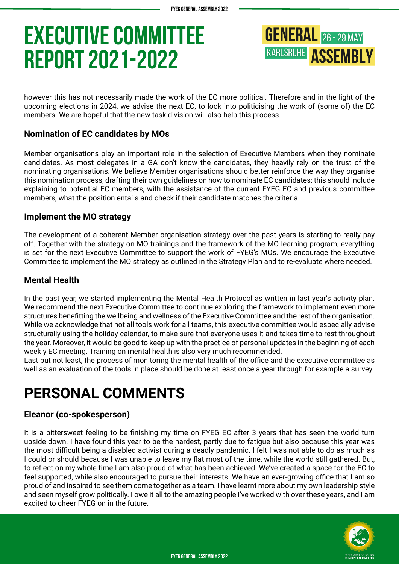**GENERAL** 26 - 29 MAY **KARLSRUHE ASSEMBLY** 

however this has not necessarily made the work of the EC more political. Therefore and in the light of the upcoming elections in 2024, we advise the next EC, to look into politicising the work of (some of) the EC members. We are hopeful that the new task division will also help this process.

# **Nomination of EC candidates by MOs**

Member organisations play an important role in the selection of Executive Members when they nominate candidates. As most delegates in a GA don't know the candidates, they heavily rely on the trust of the nominating organisations. We believe Member organisations should better reinforce the way they organise this nomination process, drafting their own guidelines on how to nominate EC candidates: this should include explaining to potential EC members, with the assistance of the current FYEG EC and previous committee members, what the position entails and check if their candidate matches the criteria.

#### **Implement the MO strategy**

The development of a coherent Member organisation strategy over the past years is starting to really pay off. Together with the strategy on MO trainings and the framework of the MO learning program, everything is set for the next Executive Committee to support the work of FYEG's MOs. We encourage the Executive Committee to implement the MO strategy as outlined in the Strategy Plan and to re-evaluate where needed.

#### **Mental Health**

In the past year, we started implementing the Mental Health Protocol as written in last year's activity plan. We recommend the next Executive Committee to continue exploring the framework to implement even more structures benefitting the wellbeing and wellness of the Executive Committee and the rest of the organisation. While we acknowledge that not all tools work for all teams, this executive committee would especially advise structurally using the holiday calendar, to make sure that everyone uses it and takes time to rest throughout the year. Moreover, it would be good to keep up with the practice of personal updates in the beginning of each weekly EC meeting. Training on mental health is also very much recommended.

Last but not least, the process of monitoring the mental health of the office and the executive committee as well as an evaluation of the tools in place should be done at least once a year through for example a survey.

# **PERSONAL COMMENTS**

#### **Eleanor (co-spokesperson)**

It is a bittersweet feeling to be finishing my time on FYEG EC after 3 years that has seen the world turn upside down. I have found this year to be the hardest, partly due to fatigue but also because this year was the most difficult being a disabled activist during a deadly pandemic. I felt I was not able to do as much as I could or should because I was unable to leave my flat most of the time, while the world still gathered. But, to reflect on my whole time I am also proud of what has been achieved. We've created a space for the EC to feel supported, while also encouraged to pursue their interests. We have an ever-growing office that I am so proud of and inspired to see them come together as a team. I have learnt more about my own leadership style and seen myself grow politically. I owe it all to the amazing people I've worked with over these years, and I am excited to cheer FYEG on in the future.

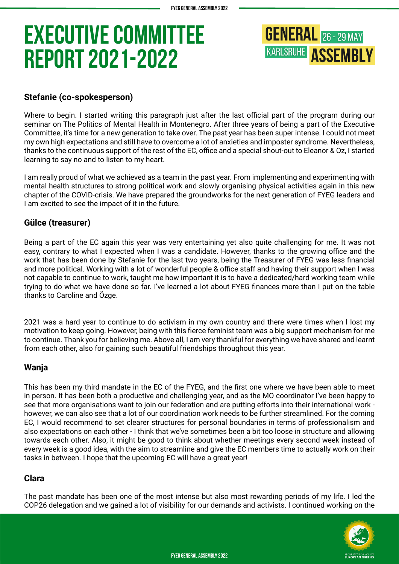

# **Stefanie (co-spokesperson)**

Where to begin. I started writing this paragraph just after the last official part of the program during our seminar on The Politics of Mental Health in Montenegro. After three years of being a part of the Executive Committee, it's time for a new generation to take over. The past year has been super intense. I could not meet my own high expectations and still have to overcome a lot of anxieties and imposter syndrome. Nevertheless, thanks to the continuous support of the rest of the EC, office and a special shout-out to Eleanor & Oz, I started learning to say no and to listen to my heart.

I am really proud of what we achieved as a team in the past year. From implementing and experimenting with mental health structures to strong political work and slowly organising physical activities again in this new chapter of the COVID-crisis. We have prepared the groundworks for the next generation of FYEG leaders and I am excited to see the impact of it in the future.

# **Gülce (treasurer)**

Being a part of the EC again this year was very entertaining yet also quite challenging for me. It was not easy, contrary to what I expected when I was a candidate. However, thanks to the growing office and the work that has been done by Stefanie for the last two years, being the Treasurer of FYEG was less financial and more political. Working with a lot of wonderful people & office staff and having their support when I was not capable to continue to work, taught me how important it is to have a dedicated/hard working team while trying to do what we have done so far. I've learned a lot about FYEG finances more than I put on the table thanks to Caroline and Özge.

2021 was a hard year to continue to do activism in my own country and there were times when I lost my motivation to keep going. However, being with this fierce feminist team was a big support mechanism for me to continue. Thank you for believing me. Above all, I am very thankful for everything we have shared and learnt from each other, also for gaining such beautiful friendships throughout this year.

# **Wanja**

This has been my third mandate in the EC of the FYEG, and the first one where we have been able to meet in person. It has been both a productive and challenging year, and as the MO coordinator I've been happy to see that more organisations want to join our federation and are putting efforts into their international work however, we can also see that a lot of our coordination work needs to be further streamlined. For the coming EC, I would recommend to set clearer structures for personal boundaries in terms of professionalism and also expectations on each other - I think that we've sometimes been a bit too loose in structure and allowing towards each other. Also, it might be good to think about whether meetings every second week instead of every week is a good idea, with the aim to streamline and give the EC members time to actually work on their tasks in between. I hope that the upcoming EC will have a great year!

#### **Clara**

The past mandate has been one of the most intense but also most rewarding periods of my life. I led the COP26 delegation and we gained a lot of visibility for our demands and activists. I continued working on the

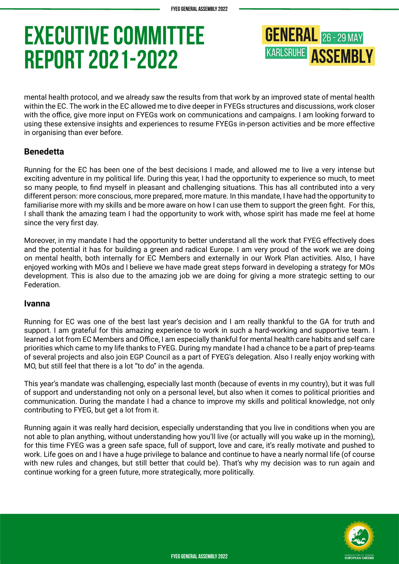**GENERAL** 26 - 29 MAY **KARLSRUHE ASSEMBLY** 

mental health protocol, and we already saw the results from that work by an improved state of mental health within the EC. The work in the EC allowed me to dive deeper in FYEGs structures and discussions, work closer with the office, give more input on FYEGs work on communications and campaigns. I am looking forward to using these extensive insights and experiences to resume FYEGs in-person activities and be more effective in organising than ever before.

# **Benedetta**

Running for the EC has been one of the best decisions I made, and allowed me to live a very intense but exciting adventure in my political life. During this year, I had the opportunity to experience so much, to meet so many people, to find myself in pleasant and challenging situations. This has all contributed into a very different person: more conscious, more prepared, more mature. In this mandate, I have had the opportunity to familiarise more with my skills and be more aware on how I can use them to support the green fight. For this, I shall thank the amazing team I had the opportunity to work with, whose spirit has made me feel at home since the very first day.

Moreover, in my mandate I had the opportunity to better understand all the work that FYEG effectively does and the potential it has for building a green and radical Europe. I am very proud of the work we are doing on mental health, both internally for EC Members and externally in our Work Plan activities. Also, I have enjoyed working with MOs and I believe we have made great steps forward in developing a strategy for MOs development. This is also due to the amazing job we are doing for giving a more strategic setting to our Federation.

#### **Ivanna**

Running for EC was one of the best last year's decision and I am really thankful to the GA for truth and support. I am grateful for this amazing experience to work in such a hard-working and supportive team. I learned a lot from EC Members and Office, I am especially thankful for mental health care habits and self care priorities which came to my life thanks to FYEG. During my mandate I had a chance to be a part of prep-teams of several projects and also join EGP Council as a part of FYEG's delegation. Also I really enjoy working with MO, but still feel that there is a lot "to do" in the agenda.

This year's mandate was challenging, especially last month (because of events in my country), but it was full of support and understanding not only on a personal level, but also when it comes to political priorities and communication. During the mandate I had a chance to improve my skills and political knowledge, not only contributing to FYEG, but get a lot from it.

Running again it was really hard decision, especially understanding that you live in conditions when you are not able to plan anything, without understanding how you'll live (or actually will you wake up in the morning), for this time FYEG was a green safe space, full of support, love and care, it's really motivate and pushed to work. Life goes on and I have a huge privilege to balance and continue to have a nearly normal life (of course with new rules and changes, but still better that could be). That's why my decision was to run again and continue working for a green future, more strategically, more politically.